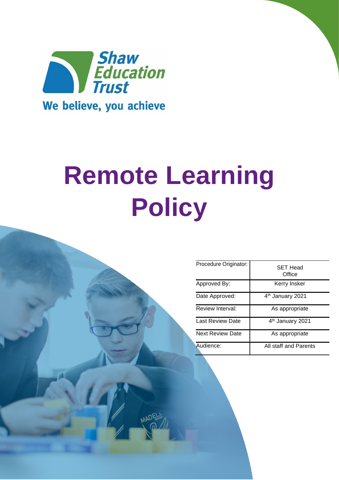

# **Remote Learning Policy**

| Procedure Originator:   | <b>SET Head</b><br>Office    |
|-------------------------|------------------------------|
| Approved By:            | Kerry Insker                 |
| Date Approved:          | 4 <sup>th</sup> January 2021 |
| Review Interval:        | As appropriate               |
| Last Review Date        | 4 <sup>th</sup> January 2021 |
| <b>Next Review Date</b> | As appropriate               |
| Audience:               | All staff and Parents        |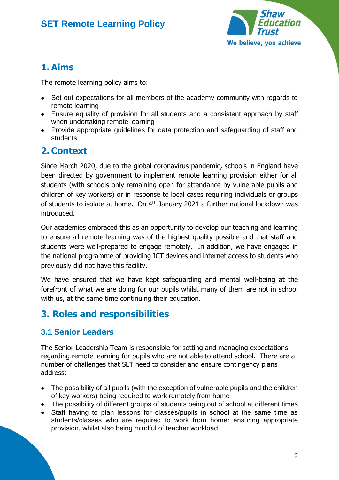

# **1. Aims**

The remote learning policy aims to:

- Set out expectations for all members of the academy community with regards to remote learning
- Ensure equality of provision for all students and a consistent approach by staff when undertaking remote learning
- Provide appropriate guidelines for data protection and safeguarding of staff and students

# **2. Context**

Since March 2020, due to the global coronavirus pandemic, schools in England have been directed by government to implement remote learning provision either for all students (with schools only remaining open for attendance by vulnerable pupils and children of key workers) or in response to local cases requiring individuals or groups of students to isolate at home. On 4<sup>th</sup> January 2021 a further national lockdown was introduced.

Our academies embraced this as an opportunity to develop our teaching and learning to ensure all remote learning was of the highest quality possible and that staff and students were well-prepared to engage remotely. In addition, we have engaged in the national programme of providing ICT devices and internet access to students who previously did not have this facility.

We have ensured that we have kept safeguarding and mental well-being at the forefront of what we are doing for our pupils whilst many of them are not in school with us, at the same time continuing their education.

# **3. Roles and responsibilities**

#### **3.1 Senior Leaders**

The Senior Leadership Team is responsible for setting and managing expectations regarding remote learning for pupils who are not able to attend school. There are a number of challenges that SLT need to consider and ensure contingency plans address:

- The possibility of all pupils (with the exception of vulnerable pupils and the children of key workers) being required to work remotely from home
- The possibility of different groups of students being out of school at different times
- Staff having to plan lessons for classes/pupils in school at the same time as students/classes who are required to work from home: ensuring appropriate provision, whilst also being mindful of teacher workload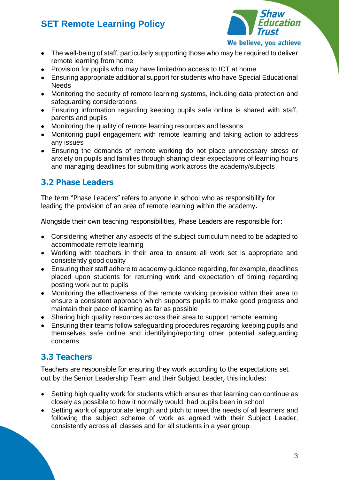

- The well-being of staff, particularly supporting those who may be required to deliver remote learning from home
- Provision for pupils who may have limited/no access to ICT at home
- Ensuring appropriate additional support for students who have Special Educational **Needs**
- Monitoring the security of remote learning systems, including data protection and safeguarding considerations
- Ensuring information regarding keeping pupils safe online is shared with staff, parents and pupils
- Monitoring the quality of remote learning resources and lessons
- Monitoring pupil engagement with remote learning and taking action to address any issues
- Ensuring the demands of remote working do not place unnecessary stress or anxiety on pupils and families through sharing clear expectations of learning hours and managing deadlines for submitting work across the academy/subjects

#### **3.2 Phase Leaders**

The term "Phase Leaders" refers to anyone in school who as responsibility for leading the provision of an area of remote learning within the academy.

Alongside their own teaching responsibilities, Phase Leaders are responsible for:

- Considering whether any aspects of the subject curriculum need to be adapted to accommodate remote learning
- Working with teachers in their area to ensure all work set is appropriate and consistently good quality
- Ensuring their staff adhere to academy guidance regarding, for example, deadlines placed upon students for returning work and expectation of timing regarding posting work out to pupils
- Monitoring the effectiveness of the remote working provision within their area to ensure a consistent approach which supports pupils to make good progress and maintain their pace of learning as far as possible
- Sharing high quality resources across their area to support remote learning
- Ensuring their teams follow safeguarding procedures regarding keeping pupils and themselves safe online and identifying/reporting other potential safeguarding concerns

#### **3.3 Teachers**

Teachers are responsible for ensuring they work according to the expectations set out by the Senior Leadership Team and their Subject Leader, this includes:

- Setting high quality work for students which ensures that learning can continue as closely as possible to how it normally would, had pupils been in school
- Setting work of appropriate length and pitch to meet the needs of all learners and following the subject scheme of work as agreed with their Subject Leader, consistently across all classes and for all students in a year group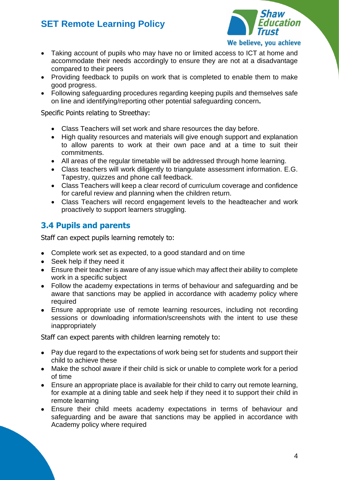

We believe, you achieve

- Taking account of pupils who may have no or limited access to ICT at home and accommodate their needs accordingly to ensure they are not at a disadvantage compared to their peers
- Providing feedback to pupils on work that is completed to enable them to make good progress.
- Following safeguarding procedures regarding keeping pupils and themselves safe on line and identifying/reporting other potential safeguarding concern**.**

Specific Points relating to Streethay:

- Class Teachers will set work and share resources the day before.
- High quality resources and materials will give enough support and explanation to allow parents to work at their own pace and at a time to suit their commitments.
- All areas of the regular timetable will be addressed through home learning.
- Class teachers will work diligently to triangulate assessment information. E.G. Tapestry, quizzes and phone call feedback.
- Class Teachers will keep a clear record of curriculum coverage and confidence for careful review and planning when the children return.
- Class Teachers will record engagement levels to the headteacher and work proactively to support learners struggling.

#### **3.4 Pupils and parents**

Staff can expect pupils learning remotely to:

- Complete work set as expected, to a good standard and on time
- Seek help if they need it
- Ensure their teacher is aware of any issue which may affect their ability to complete work in a specific subject
- Follow the academy expectations in terms of behaviour and safeguarding and be aware that sanctions may be applied in accordance with academy policy where required
- Ensure appropriate use of remote learning resources, including not recording sessions or downloading information/screenshots with the intent to use these inappropriately

Staff can expect parents with children learning remotely to:

- Pay due regard to the expectations of work being set for students and support their child to achieve these
- Make the school aware if their child is sick or unable to complete work for a period of time
- Ensure an appropriate place is available for their child to carry out remote learning, for example at a dining table and seek help if they need it to support their child in remote learning
- Ensure their child meets academy expectations in terms of behaviour and safeguarding and be aware that sanctions may be applied in accordance with Academy policy where required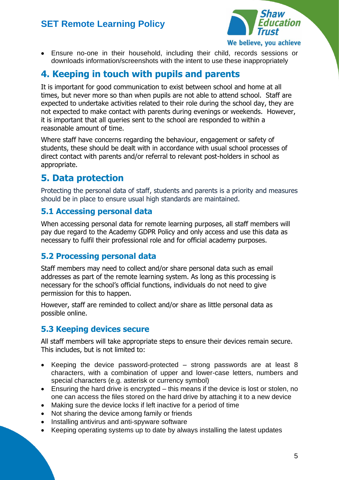

We believe, you achieve

• Ensure no-one in their household, including their child, records sessions or downloads information/screenshots with the intent to use these inappropriately

# **4. Keeping in touch with pupils and parents**

It is important for good communication to exist between school and home at all times, but never more so than when pupils are not able to attend school. Staff are expected to undertake activities related to their role during the school day, they are not expected to make contact with parents during evenings or weekends. However, it is important that all queries sent to the school are responded to within a reasonable amount of time.

Where staff have concerns regarding the behaviour, engagement or safety of students, these should be dealt with in accordance with usual school processes of direct contact with parents and/or referral to relevant post-holders in school as appropriate.

# **5. Data protection**

Protecting the personal data of staff, students and parents is a priority and measures should be in place to ensure usual high standards are maintained.

#### **5.1 Accessing personal data**

When accessing personal data for remote learning purposes, all staff members will pay due regard to the Academy GDPR Policy and only access and use this data as necessary to fulfil their professional role and for official academy purposes.

#### **5.2 Processing personal data**

Staff members may need to collect and/or share personal data such as email addresses as part of the remote learning system. As long as this processing is necessary for the school's official functions, individuals do not need to give permission for this to happen.

However, staff are reminded to collect and/or share as little personal data as possible online.

#### **5.3 Keeping devices secure**

All staff members will take appropriate steps to ensure their devices remain secure. This includes, but is not limited to:

- Keeping the device password-protected strong passwords are at least 8 characters, with a combination of upper and lower-case letters, numbers and special characters (e.g. asterisk or currency symbol)
- Ensuring the hard drive is encrypted this means if the device is lost or stolen, no one can access the files stored on the hard drive by attaching it to a new device
- Making sure the device locks if left inactive for a period of time
- Not sharing the device among family or friends
- Installing antivirus and anti-spyware software
- Keeping operating systems up to date by always installing the latest updates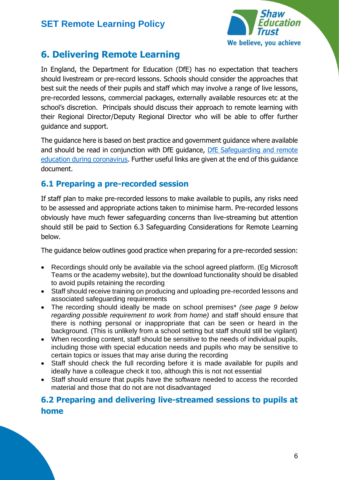

# **6. Delivering Remote Learning**

In England, the Department for Education (DfE) has no expectation that teachers should livestream or pre-record lessons. Schools should consider the approaches that best suit the needs of their pupils and staff which may involve a range of live lessons, pre-recorded lessons, commercial packages, externally available resources etc at the school's discretion. Principals should discuss their approach to remote learning with their Regional Director/Deputy Regional Director who will be able to offer further guidance and support.

The guidance here is based on best practice and government guidance where available and should be read in conjunction with DfE guidance, [DfE Safeguarding and remote](https://www.gov.uk/guidance/safeguarding-and-remote-education-during-coronavirus-covid-19)  [education during coronavirus.](https://www.gov.uk/guidance/safeguarding-and-remote-education-during-coronavirus-covid-19) Further useful links are given at the end of this guidance document.

#### **6.1 Preparing a pre-recorded session**

If staff plan to make pre-recorded lessons to make available to pupils, any risks need to be assessed and appropriate actions taken to minimise harm. Pre-recorded lessons obviously have much fewer safeguarding concerns than live-streaming but attention should still be paid to Section 6.3 Safeguarding Considerations for Remote Learning below.

The guidance below outlines good practice when preparing for a pre-recorded session:

- Recordings should only be available via the school agreed platform. (Eg Microsoft Teams or the academy website), but the download functionality should be disabled to avoid pupils retaining the recording
- Staff should receive training on producing and uploading pre-recorded lessons and associated safeguarding requirements
- The recording should ideally be made on school premises\* *(see page 9 below regarding possible requirement to work from home)* and staff should ensure that there is nothing personal or inappropriate that can be seen or heard in the background. (This is unlikely from a school setting but staff should still be vigilant)
- When recording content, staff should be sensitive to the needs of individual pupils, including those with special education needs and pupils who may be sensitive to certain topics or issues that may arise during the recording
- Staff should check the full recording before it is made available for pupils and ideally have a colleague check it too, although this is not not essential
- Staff should ensure that pupils have the software needed to access the recorded material and those that do not are not disadvantaged

#### **6.2 Preparing and delivering live-streamed sessions to pupils at home**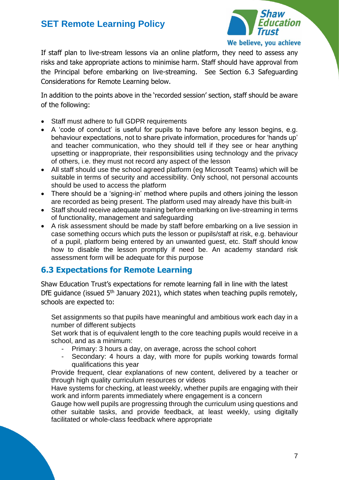

If staff plan to live-stream lessons via an online platform, they need to assess any risks and take appropriate actions to minimise harm. Staff should have approval from the Principal before embarking on live-streaming. See Section 6.3 Safeguarding Considerations for Remote Learning below.

In addition to the points above in the 'recorded session' section, staff should be aware of the following:

- Staff must adhere to full GDPR requirements
- A 'code of conduct' is useful for pupils to have before any lesson begins, e.g. behaviour expectations, not to share private information, procedures for 'hands up' and teacher communication, who they should tell if they see or hear anything upsetting or inappropriate, their responsibilities using technology and the privacy of others, i.e. they must not record any aspect of the lesson
- All staff should use the school agreed platform (eg Microsoft Teams) which will be suitable in terms of security and accessibility. Only school, not personal accounts should be used to access the platform
- There should be a 'signing-in' method where pupils and others joining the lesson are recorded as being present. The platform used may already have this built-in
- Staff should receive adequate training before embarking on live-streaming in terms of functionality, management and safeguarding
- A risk assessment should be made by staff before embarking on a live session in case something occurs which puts the lesson or pupils/staff at risk, e.g. behaviour of a pupil, platform being entered by an unwanted guest, etc. Staff should know how to disable the lesson promptly if need be. An academy standard risk assessment form will be adequate for this purpose

#### **6.3 Expectations for Remote Learning**

Shaw Education Trust's expectations for remote learning fall in line with the latest DfE guidance (issued  $5<sup>th</sup>$  January 2021), which states when teaching pupils remotely, schools are expected to:

Set assignments so that pupils have meaningful and ambitious work each day in a number of different subjects

Set work that is of equivalent length to the core teaching pupils would receive in a school, and as a minimum:

- Primary: 3 hours a day, on average, across the school cohort
- Secondary: 4 hours a day, with more for pupils working towards formal qualifications this year

Provide frequent, clear explanations of new content, delivered by a teacher or through high quality curriculum resources or videos

Have systems for checking, at least weekly, whether pupils are engaging with their work and inform parents immediately where engagement is a concern

Gauge how well pupils are progressing through the curriculum using questions and other suitable tasks, and provide feedback, at least weekly, using digitally facilitated or whole-class feedback where appropriate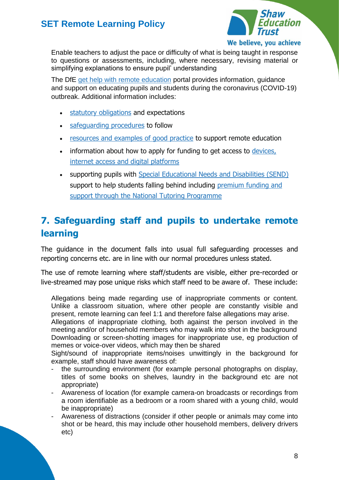

We believe, you achieve

Enable teachers to adjust the pace or difficulty of what is being taught in response to questions or assessments, including, where necessary, revising material or simplifying explanations to ensure pupil' understanding

The DfE [get help with remote education](https://get-help-with-remote-education.education.gov.uk/) portal provides information, guidance and support on educating pupils and students during the coronavirus (COVID-19) outbreak. Additional information includes:

- [statutory obligations](https://get-help-with-remote-education.education.gov.uk/statutory-obligations.html) and expectations
- [safeguarding procedures](https://get-help-with-remote-education.education.gov.uk/safeguarding.html) to follow
- [resources and examples of good practice](https://get-help-with-remote-education.education.gov.uk/good-teaching-practice.html) to support remote education
- information about how to apply for funding to get access to devices, [internet access and digital platforms](https://get-help-with-tech.education.gov.uk/)
- supporting pupils with [Special Educational Needs and Disabilities \(SEND\)](https://get-help-with-remote-education.education.gov.uk/send.html) support to help students falling behind including premium funding and [support through the National Tutoring Programme](https://get-help-with-remote-education.education.gov.uk/support-for-recovery.html)

# **7. Safeguarding staff and pupils to undertake remote learning**

The guidance in the document falls into usual full safeguarding processes and reporting concerns etc. are in line with our normal procedures unless stated.

The use of remote learning where staff/students are visible, either pre-recorded or live-streamed may pose unique risks which staff need to be aware of. These include:

Allegations being made regarding use of inappropriate comments or content. Unlike a classroom situation, where other people are constantly visible and present, remote learning can feel 1:1 and therefore false allegations may arise.

Allegations of inappropriate clothing, both against the person involved in the meeting and/or of household members who may walk into shot in the background Downloading or screen-shotting images for inappropriate use, eg production of memes or voice-over videos, which may then be shared

Sight/sound of inappropriate items/noises unwittingly in the background for example, staff should have awareness of:

- the surrounding environment (for example personal photographs on display, titles of some books on shelves, laundry in the background etc are not appropriate)
- Awareness of location (for example camera-on broadcasts or recordings from a room identifiable as a bedroom or a room shared with a young child, would be inappropriate)
- Awareness of distractions (consider if other people or animals may come into shot or be heard, this may include other household members, delivery drivers etc)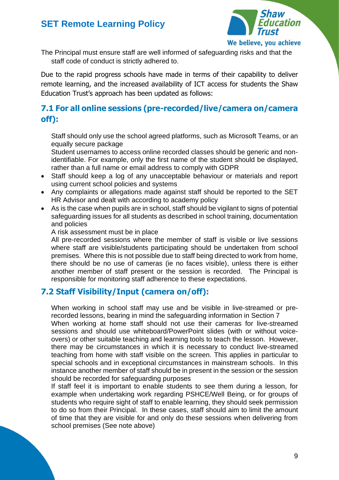

The Principal must ensure staff are well informed of safeguarding risks and that the staff code of conduct is strictly adhered to.

Due to the rapid progress schools have made in terms of their capability to deliver remote learning, and the increased availability of ICT access for students the Shaw Education Trust's approach has been updated as follows:

### **7.1 For all online sessions (pre-recorded/live/camera on/camera off):**

Staff should only use the school agreed platforms, such as Microsoft Teams, or an equally secure package

Student usernames to access online recorded classes should be generic and nonidentifiable. For example, only the first name of the student should be displayed, rather than a full name or email address to comply with GDPR

- Staff should keep a log of any unacceptable behaviour or materials and report using current school policies and systems
- Any complaints or allegations made against staff should be reported to the SET HR Advisor and dealt with according to academy policy
- As is the case when pupils are in school, staff should be vigilant to signs of potential safeguarding issues for all students as described in school training, documentation and policies

A risk assessment must be in place

All pre-recorded sessions where the member of staff is visible or live sessions where staff are visible/students participating should be undertaken from school premises. Where this is not possible due to staff being directed to work from home, there should be no use of cameras (ie no faces visible), unless there is either another member of staff present or the session is recorded. The Principal is responsible for monitoring staff adherence to these expectations.

#### **7.2 Staff Visibility/Input (camera on/off):**

When working in school staff may use and be visible in live-streamed or prerecorded lessons, bearing in mind the safeguarding information in Section 7

When working at home staff should not use their cameras for live-streamed sessions and should use whiteboard/PowerPoint slides (with or without voiceovers) or other suitable teaching and learning tools to teach the lesson. However, there may be circumstances in which it is necessary to conduct live-streamed teaching from home with staff visible on the screen. This applies in particular to special schools and in exceptional circumstances in mainstream schools. In this instance another member of staff should be in present in the session or the session should be recorded for safeguarding purposes

If staff feel it is important to enable students to see them during a lesson, for example when undertaking work regarding PSHCE/Well Being, or for groups of students who require sight of staff to enable learning, they should seek permission to do so from their Principal. In these cases, staff should aim to limit the amount of time that they are visible for and only do these sessions when delivering from school premises (See note above)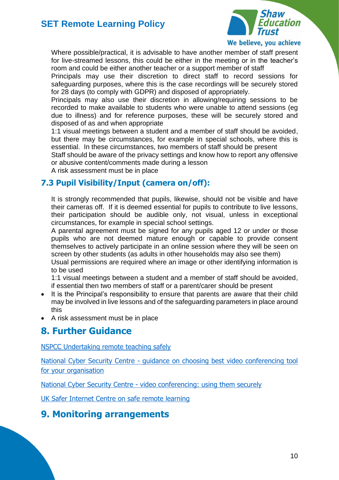

#### We believe, you achieve

Where possible/practical, it is advisable to have another member of staff present for live-streamed lessons, this could be either in the meeting or in the teacher's room and could be either another teacher or a support member of staff

Principals may use their discretion to direct staff to record sessions for safeguarding purposes, where this is the case recordings will be securely stored for 28 days (to comply with GDPR) and disposed of appropriately.

Principals may also use their discretion in allowing/requiring sessions to be recorded to make available to students who were unable to attend sessions (eg due to illness) and for reference purposes, these will be securely stored and disposed of as and when appropriate

1:1 visual meetings between a student and a member of staff should be avoided, but there may be circumstances, for example in special schools, where this is essential. In these circumstances, two members of staff should be present

Staff should be aware of the privacy settings and know how to report any offensive or abusive content/comments made during a lesson

A risk assessment must be in place

#### **7.3 Pupil Visibility/Input (camera on/off):**

It is strongly recommended that pupils, likewise, should not be visible and have their cameras off. If it is deemed essential for pupils to contribute to live lessons, their participation should be audible only, not visual, unless in exceptional circumstances, for example in special school settings.

A parental agreement must be signed for any pupils aged 12 or under or those pupils who are not deemed mature enough or capable to provide consent themselves to actively participate in an online session where they will be seen on screen by other students (as adults in other households may also see them)

Usual permissions are required where an image or other identifying information is to be used

1:1 visual meetings between a student and a member of staff should be avoided, if essential then two members of staff or a parent/carer should be present

- It is the Principal's responsibility to ensure that parents are aware that their child may be involved in live lessons and of the safeguarding parameters in place around this
- A risk assessment must be in place

# **8. Further Guidance**

[NSPCC Undertaking remote teaching safely](https://learning.nspcc.org.uk/news/2020/march/undertaking-remote-teaching-safely)

National Cyber Security Centre - [guidance on choosing best video conferencing tool](https://www.ncsc.gov.uk/guidance/video-conferencing-services-security-guidance-organisations)  [for your organisation](https://www.ncsc.gov.uk/guidance/video-conferencing-services-security-guidance-organisations)

National Cyber Security Centre - [video conferencing: using them securely](https://www.ncsc.gov.uk/guidance/video-conferencing-services-using-them-securely)

[UK Safer Internet Centre on safe remote learning](https://swgfl.org.uk/resources/safe-remote-learning/)

# **9. Monitoring arrangements**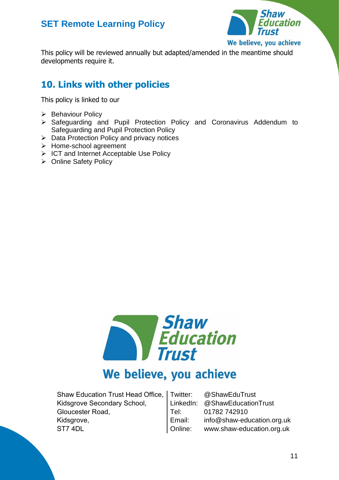

This policy will be reviewed annually but adapted/amended in the meantime should developments require it.

# **10. Links with other policies**

This policy is linked to our

- ➢ Behaviour Policy
- ➢ Safeguarding and Pupil Protection Policy and Coronavirus Addendum to Safeguarding and Pupil Protection Policy
- ➢ Data Protection Policy and privacy notices
- ➢ Home-school agreement
- ➢ ICT and Internet Acceptable Use Policy
- ➢ Online Safety Policy



# We believe, you achieve

Shaw Education Trust Head Office, Kidsgrove Secondary School, Gloucester Road, Kidsgrove, ST7 4DL

| Twitter:  | @ShawEduTrust              |
|-----------|----------------------------|
| LinkedIn: | @ShawEducationTrust        |
| Tel:      | 01782 742910               |
| Email:    | info@shaw-education.org.uk |
| Online:   | www.shaw-education.org.uk  |